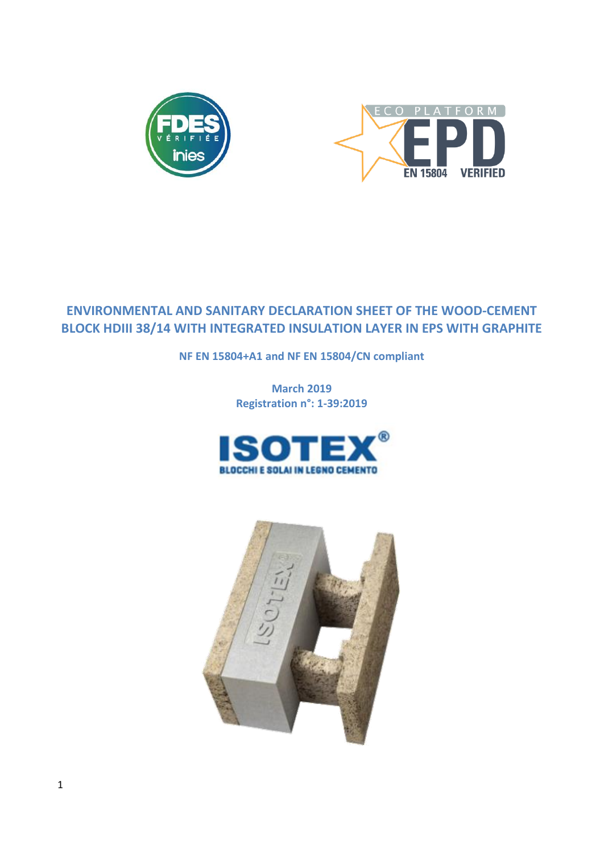



# **ENVIRONMENTAL AND SANITARY DECLARATION SHEET OF THE WOOD-CEMENT BLOCK HDIII 38/14 WITH INTEGRATED INSULATION LAYER IN EPS WITH GRAPHITE**

**NF EN 15804+A1 and NF EN 15804/CN compliant**

**March 2019 Registration n°: 1-39:2019**



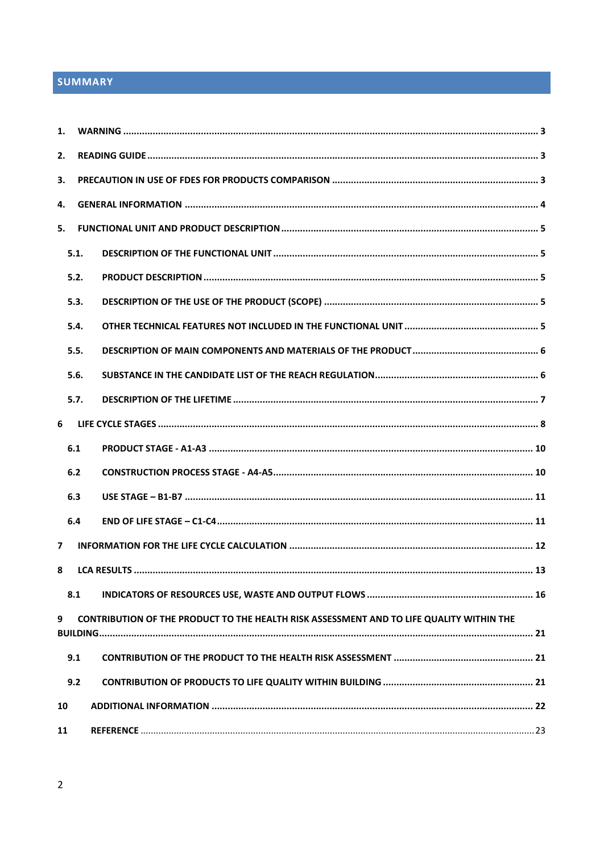# SUMMARY

| $\mathbf{1}$ . |      |                                                                                          |  |
|----------------|------|------------------------------------------------------------------------------------------|--|
| 2.             |      |                                                                                          |  |
| 3.             |      |                                                                                          |  |
| 4.             |      |                                                                                          |  |
| 5.             |      |                                                                                          |  |
|                | 5.1. |                                                                                          |  |
|                | 5.2. |                                                                                          |  |
|                | 5.3. |                                                                                          |  |
|                | 5.4. |                                                                                          |  |
|                | 5.5. |                                                                                          |  |
|                | 5.6. |                                                                                          |  |
|                | 5.7. |                                                                                          |  |
| 6              |      |                                                                                          |  |
|                | 6.1  |                                                                                          |  |
|                | 6.2  |                                                                                          |  |
|                | 6.3  |                                                                                          |  |
|                | 6.4  |                                                                                          |  |
| 7              |      |                                                                                          |  |
| 8              |      |                                                                                          |  |
|                | 8.1  |                                                                                          |  |
| 9              |      | CONTRIBUTION OF THE PRODUCT TO THE HEALTH RISK ASSESSMENT AND TO LIFE QUALITY WITHIN THE |  |
|                | 9.1  |                                                                                          |  |
|                | 9.2  |                                                                                          |  |
| 10             |      |                                                                                          |  |
| 11             |      |                                                                                          |  |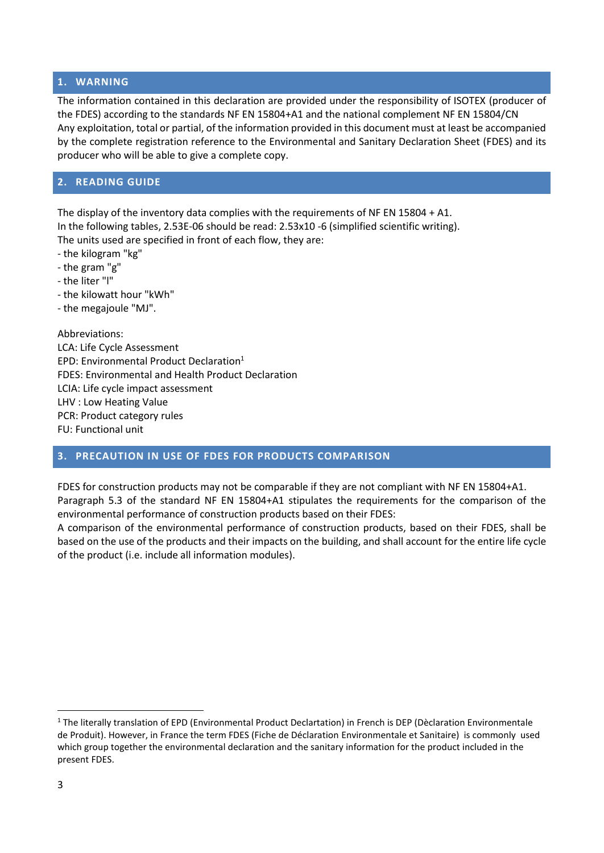#### <span id="page-2-0"></span>**1. WARNING**

The information contained in this declaration are provided under the responsibility of ISOTEX (producer of the FDES) according to the standards NF EN 15804+A1 and the national complement NF EN 15804/CN Any exploitation, total or partial, of the information provided in this document must at least be accompanied by the complete registration reference to the Environmental and Sanitary Declaration Sheet (FDES) and its producer who will be able to give a complete copy.

### <span id="page-2-1"></span>**2. READING GUIDE**

The display of the inventory data complies with the requirements of NF EN 15804 + A1. In the following tables, 2.53E-06 should be read: 2.53x10 -6 (simplified scientific writing). The units used are specified in front of each flow, they are:

- the kilogram "kg"
- the gram "g"
- the liter "l"
- the kilowatt hour "kWh"
- the megajoule "MJ".

Abbreviations: LCA: Life Cycle Assessment EPD: Environmental Product Declaration<sup>1</sup> FDES: Environmental and Health Product Declaration LCIA: Life cycle impact assessment LHV : Low Heating Value PCR: Product category rules FU: Functional unit

## <span id="page-2-2"></span>**3. PRECAUTION IN USE OF FDES FOR PRODUCTS COMPARISON**

FDES for construction products may not be comparable if they are not compliant with NF EN 15804+A1. Paragraph 5.3 of the standard NF EN 15804+A1 stipulates the requirements for the comparison of the environmental performance of construction products based on their FDES:

A comparison of the environmental performance of construction products, based on their FDES, shall be based on the use of the products and their impacts on the building, and shall account for the entire life cycle of the product (i.e. include all information modules).

 $\overline{\phantom{a}}$ 

<sup>1</sup> The literally translation of EPD (Environmental Product Declartation) in French is DEP (Dèclaration Environmentale de Produit). However, in France the term FDES (Fiche de Déclaration Environmentale et Sanitaire) is commonly used which group together the environmental declaration and the sanitary information for the product included in the present FDES.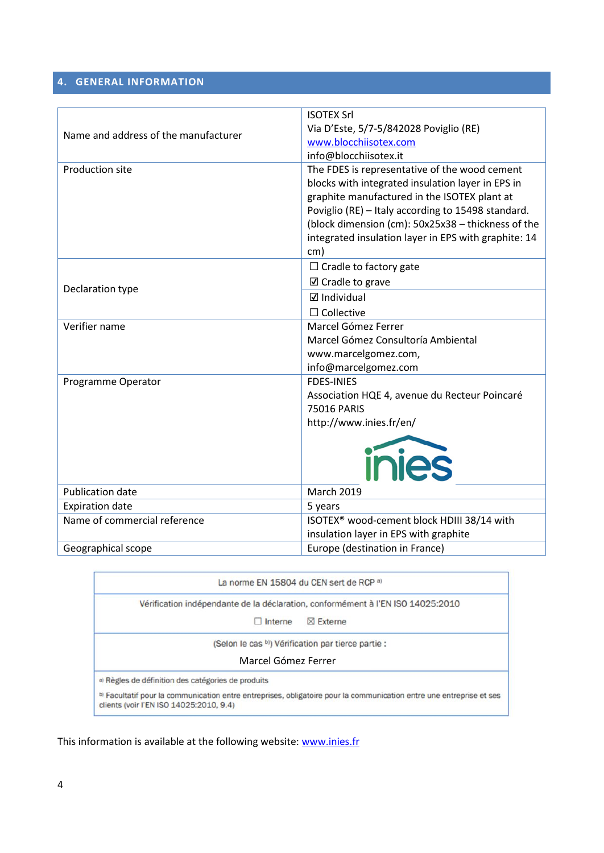# <span id="page-3-0"></span>**4. GENERAL INFORMATION**

|                                      | <b>ISOTEX Srl</b>                                                                                                                                                                                                                                                                                                             |
|--------------------------------------|-------------------------------------------------------------------------------------------------------------------------------------------------------------------------------------------------------------------------------------------------------------------------------------------------------------------------------|
|                                      | Via D'Este, 5/7-5/842028 Poviglio (RE)                                                                                                                                                                                                                                                                                        |
| Name and address of the manufacturer | www.blocchiisotex.com                                                                                                                                                                                                                                                                                                         |
|                                      | info@blocchiisotex.it                                                                                                                                                                                                                                                                                                         |
| <b>Production site</b>               | The FDES is representative of the wood cement<br>blocks with integrated insulation layer in EPS in<br>graphite manufactured in the ISOTEX plant at<br>Poviglio (RE) - Italy according to 15498 standard.<br>(block dimension (cm): 50x25x38 - thickness of the<br>integrated insulation layer in EPS with graphite: 14<br>cm) |
|                                      | $\Box$ Cradle to factory gate                                                                                                                                                                                                                                                                                                 |
|                                      | $\boxtimes$ Cradle to grave                                                                                                                                                                                                                                                                                                   |
| Declaration type                     | $\boxdot$ Individual                                                                                                                                                                                                                                                                                                          |
|                                      | $\Box$ Collective                                                                                                                                                                                                                                                                                                             |
| Verifier name                        | Marcel Gómez Ferrer                                                                                                                                                                                                                                                                                                           |
|                                      | Marcel Gómez Consultoría Ambiental                                                                                                                                                                                                                                                                                            |
|                                      | www.marcelgomez.com,                                                                                                                                                                                                                                                                                                          |
|                                      | info@marcelgomez.com                                                                                                                                                                                                                                                                                                          |
| Programme Operator                   | <b>FDES-INIES</b>                                                                                                                                                                                                                                                                                                             |
|                                      | Association HQE 4, avenue du Recteur Poincaré                                                                                                                                                                                                                                                                                 |
|                                      | <b>75016 PARIS</b>                                                                                                                                                                                                                                                                                                            |
|                                      | http://www.inies.fr/en/                                                                                                                                                                                                                                                                                                       |
|                                      | inies                                                                                                                                                                                                                                                                                                                         |
| <b>Publication date</b>              | <b>March 2019</b>                                                                                                                                                                                                                                                                                                             |
| <b>Expiration date</b>               | 5 years                                                                                                                                                                                                                                                                                                                       |
| Name of commercial reference         | ISOTEX <sup>®</sup> wood-cement block HDIII 38/14 with                                                                                                                                                                                                                                                                        |
|                                      | insulation layer in EPS with graphite                                                                                                                                                                                                                                                                                         |
| Geographical scope                   | Europe (destination in France)                                                                                                                                                                                                                                                                                                |

La norme EN 15804 du CEN sert de RCP a)

Vérification indépendante de la déclaration, conformément à l'EN ISO 14025:2010

 $\Box$  Interne  $\boxtimes$  Externe

(Selon le cas b) Vérification par tierce partie :

#### Marcel Gómez Ferrer

a) Règles de définition des catégories de produits

b) Facultatif pour la communication entre entreprises, obligatoire pour la communication entre une entreprise et ses clients (voir l'EN ISO 14025:2010, 9.4)

This information is available at the following website:<www.inies.fr>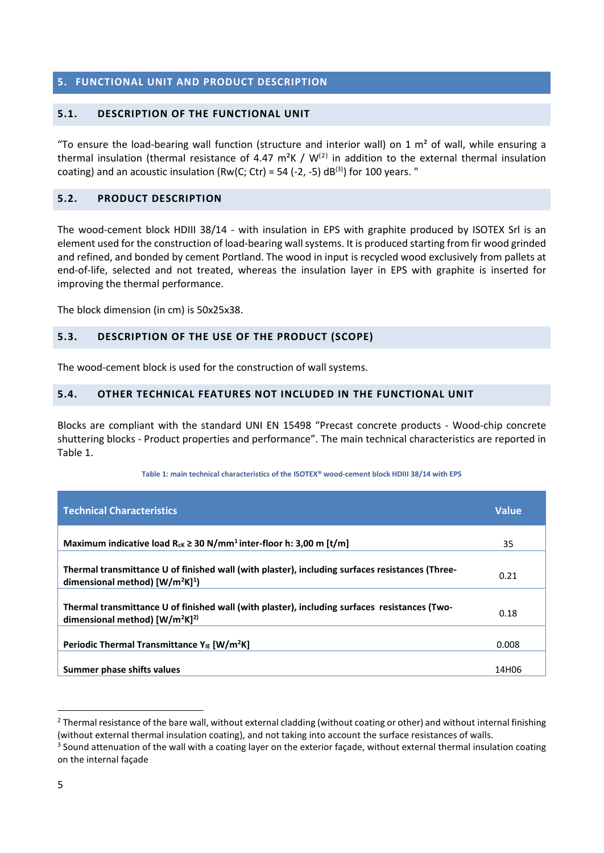# <span id="page-4-0"></span>**5. FUNCTIONAL UNIT AND PRODUCT DESCRIPTION**

### <span id="page-4-1"></span>**5.1. DESCRIPTION OF THE FUNCTIONAL UNIT**

"To ensure the load-bearing wall function (structure and interior wall) on 1  $m<sup>2</sup>$  of wall, while ensuring a thermal insulation (thermal resistance of 4.47 m<sup>2</sup>K / W<sup>(2)</sup> in addition to the external thermal insulation coating) and an acoustic insulation (Rw(C; Ctr) = 54 (-2, -5) dB<sup>(3)</sup>) for 100 years. "

#### <span id="page-4-2"></span>**5.2. PRODUCT DESCRIPTION**

The wood-cement block HDIII 38/14 - with insulation in EPS with graphite produced by ISOTEX Srl is an element used for the construction of load-bearing wall systems. It is produced starting from fir wood grinded and refined, and bonded by cement Portland. The wood in input is recycled wood exclusively from pallets at end-of-life, selected and not treated, whereas the insulation layer in EPS with graphite is inserted for improving the thermal performance.

<span id="page-4-3"></span>The block dimension (in cm) is 50x25x38.

### **5.3. DESCRIPTION OF THE USE OF THE PRODUCT (SCOPE)**

<span id="page-4-4"></span>The wood-cement block is used for the construction of wall systems.

### **5.4. OTHER TECHNICAL FEATURES NOT INCLUDED IN THE FUNCTIONAL UNIT**

Blocks are compliant with the standard UNI EN 15498 "Precast concrete products - Wood-chip concrete shuttering blocks - Product properties and performance". The main technical characteristics are reported in [Table 1.](#page-4-5)

#### **Table 1: main technical characteristics of the ISOTEX® wood-cement block HDIII 38/14 with EPS**

<span id="page-4-5"></span>

| <b>Technical Characteristics</b>                                                                                                    | <b>Value</b> |
|-------------------------------------------------------------------------------------------------------------------------------------|--------------|
| Maximum indicative load $R_{ck} \ge 30$ N/mm <sup>1</sup> inter-floor h: 3,00 m [t/m]                                               | 35           |
| Thermal transmittance U of finished wall (with plaster), including surfaces resistances (Three-<br>dimensional method) $[W/m^2K]^1$ | 0.21         |
| Thermal transmittance U of finished wall (with plaster), including surfaces resistances (Two-<br>dimensional method) $[W/m^2K]^2$   | 0.18         |
| Periodic Thermal Transmittance $Y_{IE}$ [W/m <sup>2</sup> K]                                                                        | 0.008        |
| Summer phase shifts values                                                                                                          | 14H06        |

<sup>&</sup>lt;sup>2</sup> Thermal resistance of the bare wall, without external cladding (without coating or other) and without internal finishing (without external thermal insulation coating), and not taking into account the surface resistances of walls.

 $\overline{\phantom{a}}$ 

 $3$  Sound attenuation of the wall with a coating layer on the exterior façade, without external thermal insulation coating on the internal façade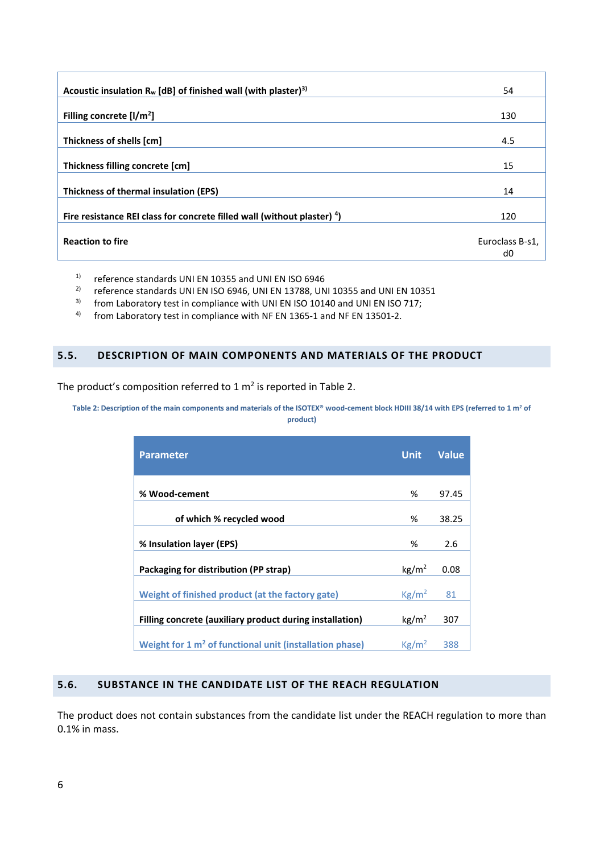| Acoustic insulation $R_w$ [dB] of finished wall (with plaster) <sup>3)</sup> | 54              |
|------------------------------------------------------------------------------|-----------------|
| Filling concrete $[1/m^2]$                                                   | 130             |
| Thickness of shells [cm]                                                     | 4.5             |
| Thickness filling concrete [cm]                                              | 15              |
| Thickness of thermal insulation (EPS)                                        | 14              |
| Fire resistance REI class for concrete filled wall (without plaster) 4)      | 120             |
| <b>Reaction to fire</b>                                                      | Euroclass B-s1, |
|                                                                              | d0              |

<sup>1)</sup> reference standards UNI EN 10355 and UNI EN ISO 6946<sup>2</sup> reference standards UNI EN ISO 6946 UNI EN 13788 UN

<sup>2)</sup> reference standards UNI EN ISO 6946, UNI EN 13788, UNI 10355 and UNI EN 10351<br><sup>3)</sup> from Laboratory test in compliance with UNI FN ISO 10140 and UNI EN ISO 717:

<sup>3)</sup> from Laboratory test in compliance with UNI EN ISO 10140 and UNI EN ISO 717;<br><sup>4)</sup> from Laboratory test in compliance with NE EN 1365-1 and NE EN 13501-2

from Laboratory test in compliance with NF EN 1365-1 and NF EN 13501-2.

#### <span id="page-5-0"></span>**5.5. DESCRIPTION OF MAIN COMPONENTS AND MATERIALS OF THE PRODUCT**

<span id="page-5-2"></span>The product's composition referred to 1  $m^2$  is reported in [Table 2.](#page-5-2)

#### **Table 2: Description of the main components and materials of the ISOTEX® wood-cement block HDIII 38/14 with EPS (referred to 1 m<sup>2</sup> of product)**

| <b>Parameter</b>                                                    | <b>Unit</b>       | Value |
|---------------------------------------------------------------------|-------------------|-------|
|                                                                     |                   |       |
| % Wood-cement                                                       | %                 | 97.45 |
| of which % recycled wood                                            | %                 | 38.25 |
| % Insulation layer (EPS)                                            | %                 | 2.6   |
| Packaging for distribution (PP strap)                               | kg/m <sup>2</sup> | 0.08  |
| Weight of finished product (at the factory gate)                    | $\text{Kg/m}^2$   | 81    |
| Filling concrete (auxiliary product during installation)            | $\text{kg/m}^2$   | 307   |
| Weight for 1 m <sup>2</sup> of functional unit (installation phase) | Kg/m <sup>2</sup> | 388   |

# <span id="page-5-1"></span>**5.6. SUBSTANCE IN THE CANDIDATE LIST OF THE REACH REGULATION**

The product does not contain substances from the candidate list under the REACH regulation to more than 0.1% in mass.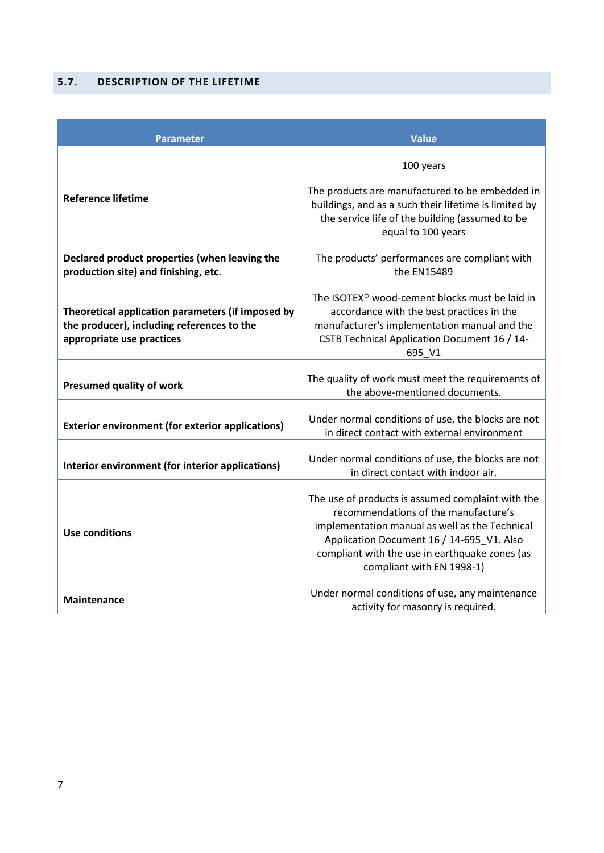# <span id="page-6-0"></span>**5.7. DESCRIPTION OF THE LIFETIME**

| <b>Parameter</b>                                                                                                             | <b>Value</b>                                                                                                                                                                                                                                                            |
|------------------------------------------------------------------------------------------------------------------------------|-------------------------------------------------------------------------------------------------------------------------------------------------------------------------------------------------------------------------------------------------------------------------|
|                                                                                                                              | 100 years                                                                                                                                                                                                                                                               |
| <b>Reference lifetime</b>                                                                                                    | The products are manufactured to be embedded in<br>buildings, and as a such their lifetime is limited by<br>the service life of the building (assumed to be<br>equal to 100 years                                                                                       |
| Declared product properties (when leaving the<br>production site) and finishing, etc.                                        | The products' performances are compliant with<br>the EN15489                                                                                                                                                                                                            |
| Theoretical application parameters (if imposed by<br>the producer), including references to the<br>appropriate use practices | The ISOTEX <sup>®</sup> wood-cement blocks must be laid in<br>accordance with the best practices in the<br>manufacturer's implementation manual and the<br>CSTB Technical Application Document 16 / 14-<br>695_V1                                                       |
| <b>Presumed quality of work</b>                                                                                              | The quality of work must meet the requirements of<br>the above-mentioned documents.                                                                                                                                                                                     |
| <b>Exterior environment (for exterior applications)</b>                                                                      | Under normal conditions of use, the blocks are not<br>in direct contact with external environment                                                                                                                                                                       |
| Interior environment (for interior applications)                                                                             | Under normal conditions of use, the blocks are not<br>in direct contact with indoor air.                                                                                                                                                                                |
| <b>Use conditions</b>                                                                                                        | The use of products is assumed complaint with the<br>recommendations of the manufacture's<br>implementation manual as well as the Technical<br>Application Document 16 / 14-695_V1. Also<br>compliant with the use in earthquake zones (as<br>compliant with EN 1998-1) |
| <b>Maintenance</b>                                                                                                           | Under normal conditions of use, any maintenance<br>activity for masonry is required.                                                                                                                                                                                    |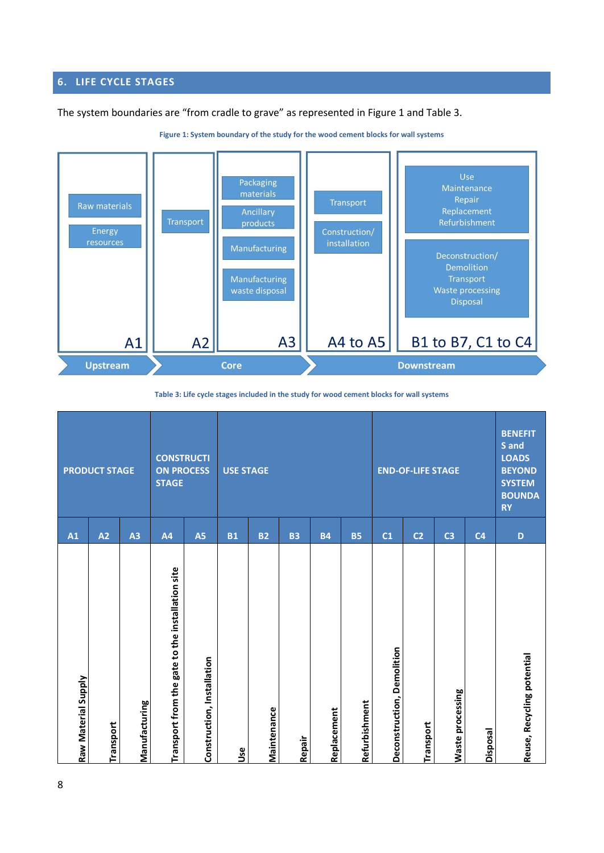# <span id="page-7-0"></span>**6. LIFE CYCLE STAGES**

<span id="page-7-1"></span>The system boundaries are "from cradle to grave" as represented i[n Figure 1](#page-7-1) and Table 3.



**Figure 1: System boundary of the study for the wood cement blocks for wall systems**

**Table 3: Life cycle stages included in the study for wood cement blocks for wall systems**

| Raw Material Supply                              | A1             |                                                                                                         |
|--------------------------------------------------|----------------|---------------------------------------------------------------------------------------------------------|
| Transport                                        | A2             | <b>PRODUCT STAGE</b>                                                                                    |
| Manufacturing                                    | A <sub>3</sub> |                                                                                                         |
| Transport from the gate to the installation site | A <sub>4</sub> | <b>CONSTRUCTI</b><br><b>ON PROCESS</b><br><b>STAGE</b>                                                  |
| Construction, Installation                       | A5             |                                                                                                         |
| Use                                              | <b>B1</b>      | <b>USE STAGE</b>                                                                                        |
| Maintenance                                      | <b>B2</b>      |                                                                                                         |
| Repair                                           | <b>B3</b>      |                                                                                                         |
| Replacement                                      | <b>B4</b>      |                                                                                                         |
| Refurbishment                                    | <b>B5</b>      |                                                                                                         |
| Deconstruction, Demolition                       | C <sub>1</sub> |                                                                                                         |
| Transport                                        | C <sub>2</sub> | <b>END-OF-LIFE STAGE</b>                                                                                |
| Waste processing                                 | C <sub>3</sub> |                                                                                                         |
| Disposal                                         | C <sub>4</sub> |                                                                                                         |
| Reuse, Recycling potential                       | D              | <b>BENEFIT</b><br>S and<br><b>LOADS</b><br><b>BEYOND</b><br><b>SYSTEM</b><br><b>BOUNDA</b><br><b>RY</b> |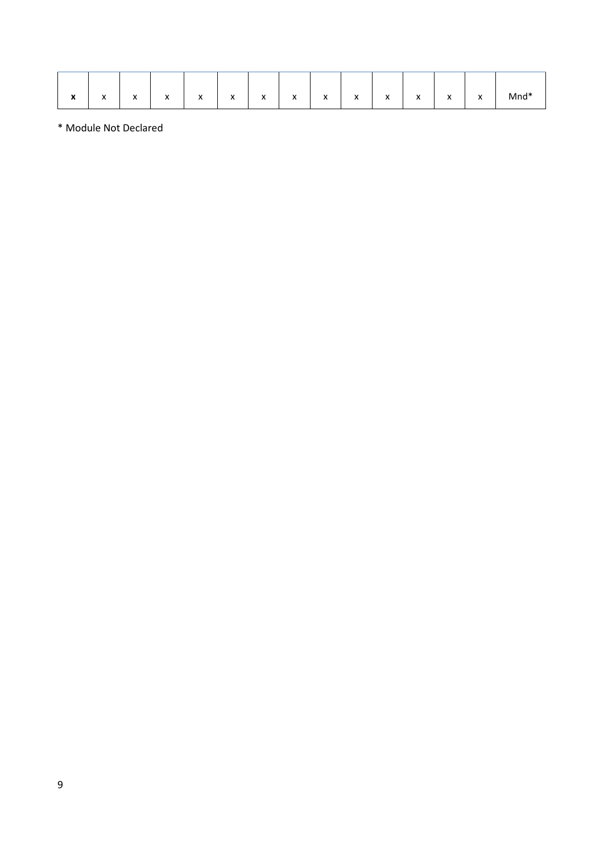|  | $\bullet$<br>^ | $\lambda$<br>$\mathbf{v}$ | $\lambda$<br>$\mathbf{v}$ | $\lambda$<br>$\mathbf{v}$ | $\lambda$<br>$\mathbf{v}$ | $\lambda$<br>$\mathbf{v}$ | $\mathbf{v}$<br>$\mathbf{v}$ | $\mathbf{v}$<br>$\mathbf{v}$ | $\mathbf{v}$<br>$\mathbf{v}$ | $\lambda$<br>$\mathbf{v}$ | $\mathbf{v}$<br>$\mathbf{v}$ | $\lambda$<br>$\mathbf{v}$ | $\mathbf{v}$<br>$\mathbf{v}$ | $\mathbf{v}$<br>$\mathbf{v}$ | Mnd* |
|--|----------------|---------------------------|---------------------------|---------------------------|---------------------------|---------------------------|------------------------------|------------------------------|------------------------------|---------------------------|------------------------------|---------------------------|------------------------------|------------------------------|------|
|--|----------------|---------------------------|---------------------------|---------------------------|---------------------------|---------------------------|------------------------------|------------------------------|------------------------------|---------------------------|------------------------------|---------------------------|------------------------------|------------------------------|------|

\* Module Not Declared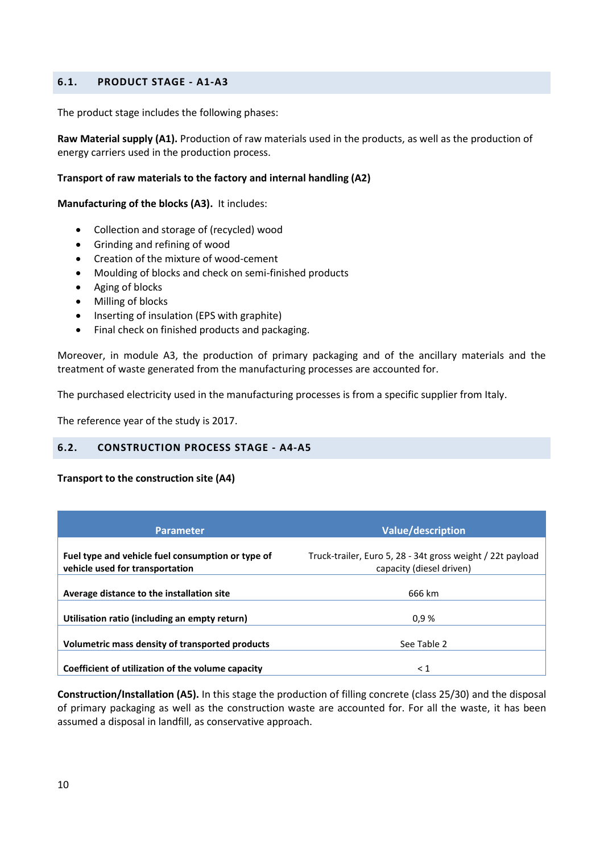## <span id="page-9-0"></span>**6.1. PRODUCT STAGE - A1-A3**

The product stage includes the following phases:

**Raw Material supply (A1).** Production of raw materials used in the products, as well as the production of energy carriers used in the production process.

#### **Transport of raw materials to the factory and internal handling (A2)**

**Manufacturing of the blocks (A3).** It includes:

- Collection and storage of (recycled) wood
- Grinding and refining of wood
- Creation of the mixture of wood-cement
- Moulding of blocks and check on semi-finished products
- Aging of blocks
- Milling of blocks
- Inserting of insulation (EPS with graphite)
- Final check on finished products and packaging.

Moreover, in module A3, the production of primary packaging and of the ancillary materials and the treatment of waste generated from the manufacturing processes are accounted for.

The purchased electricity used in the manufacturing processes is from a specific supplier from Italy.

<span id="page-9-1"></span>The reference year of the study is 2017.

#### **6.2. CONSTRUCTION PROCESS STAGE - A4-A5**

#### **Transport to the construction site (A4)**

| <b>Parameter</b>                                                                     | <b>Value/description</b>                                                               |
|--------------------------------------------------------------------------------------|----------------------------------------------------------------------------------------|
| Fuel type and vehicle fuel consumption or type of<br>vehicle used for transportation | Truck-trailer, Euro 5, 28 - 34t gross weight / 22t payload<br>capacity (diesel driven) |
| Average distance to the installation site                                            | 666 km                                                                                 |
| Utilisation ratio (including an empty return)                                        | 0.9%                                                                                   |
| Volumetric mass density of transported products                                      | See Table 2                                                                            |
| Coefficient of utilization of the volume capacity                                    | $\leq 1$                                                                               |

**Construction/Installation (A5).** In this stage the production of filling concrete (class 25/30) and the disposal of primary packaging as well as the construction waste are accounted for. For all the waste, it has been assumed a disposal in landfill, as conservative approach.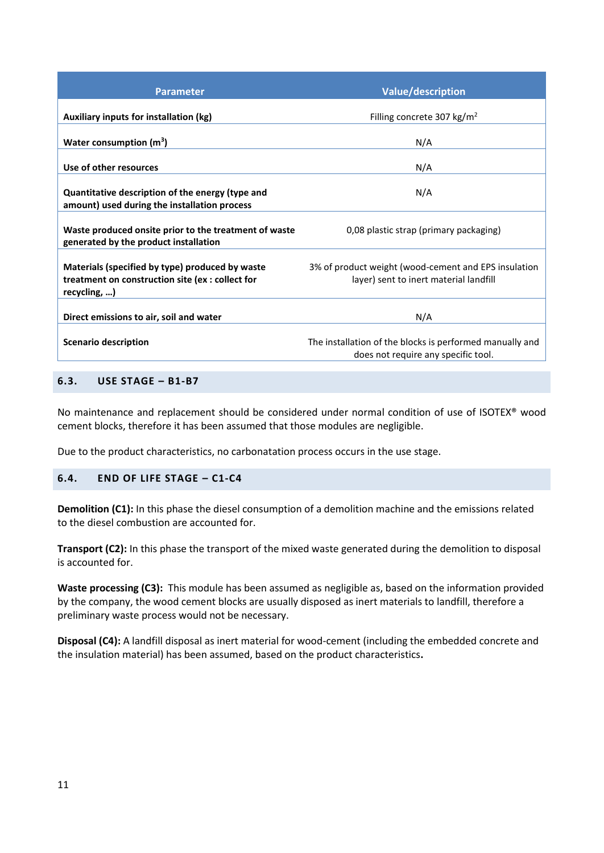| <b>Parameter</b>                                                                                                    | <b>Value/description</b>                                                                        |
|---------------------------------------------------------------------------------------------------------------------|-------------------------------------------------------------------------------------------------|
| Auxiliary inputs for installation (kg)                                                                              | Filling concrete 307 kg/m <sup>2</sup>                                                          |
| Water consumption $(m^3)$                                                                                           | N/A                                                                                             |
| Use of other resources                                                                                              | N/A                                                                                             |
| Quantitative description of the energy (type and<br>amount) used during the installation process                    | N/A                                                                                             |
| Waste produced onsite prior to the treatment of waste<br>generated by the product installation                      | 0,08 plastic strap (primary packaging)                                                          |
| Materials (specified by type) produced by waste<br>treatment on construction site (ex : collect for<br>recycling, ) | 3% of product weight (wood-cement and EPS insulation<br>layer) sent to inert material landfill  |
| Direct emissions to air, soil and water                                                                             | N/A                                                                                             |
| Scenario description                                                                                                | The installation of the blocks is performed manually and<br>does not require any specific tool. |
|                                                                                                                     |                                                                                                 |

# <span id="page-10-0"></span>**6.3. USE STAGE – B1-B7**

No maintenance and replacement should be considered under normal condition of use of ISOTEX® wood cement blocks, therefore it has been assumed that those modules are negligible.

<span id="page-10-1"></span>Due to the product characteristics, no carbonatation process occurs in the use stage.

## **6.4. END OF LIFE STAGE – C1-C4**

**Demolition (C1):** In this phase the diesel consumption of a demolition machine and the emissions related to the diesel combustion are accounted for.

**Transport (C2):** In this phase the transport of the mixed waste generated during the demolition to disposal is accounted for.

**Waste processing (C3):** This module has been assumed as negligible as, based on the information provided by the company, the wood cement blocks are usually disposed as inert materials to landfill, therefore a preliminary waste process would not be necessary.

**Disposal (C4):** A landfill disposal as inert material for wood-cement (including the embedded concrete and the insulation material) has been assumed, based on the product characteristics**.**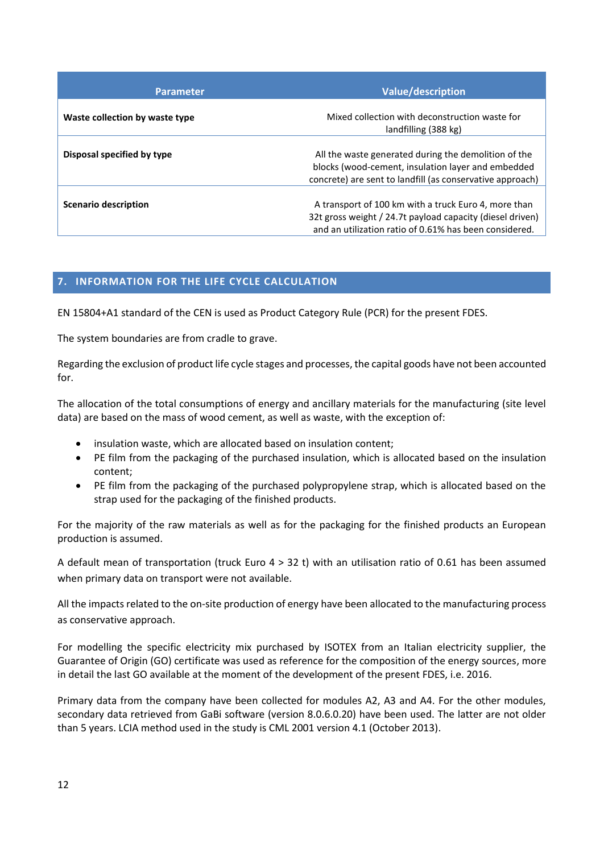| <b>Parameter</b>               | <b>Value/description</b>                                                                                                                                                    |
|--------------------------------|-----------------------------------------------------------------------------------------------------------------------------------------------------------------------------|
| Waste collection by waste type | Mixed collection with deconstruction waste for<br>landfilling (388 kg)                                                                                                      |
| Disposal specified by type     | All the waste generated during the demolition of the<br>blocks (wood-cement, insulation layer and embedded<br>concrete) are sent to landfill (as conservative approach)     |
| <b>Scenario description</b>    | A transport of 100 km with a truck Euro 4, more than<br>32t gross weight / 24.7t payload capacity (diesel driven)<br>and an utilization ratio of 0.61% has been considered. |

# <span id="page-11-0"></span>**7. INFORMATION FOR THE LIFE CYCLE CALCULATION**

EN 15804+A1 standard of the CEN is used as Product Category Rule (PCR) for the present FDES.

The system boundaries are from cradle to grave.

Regarding the exclusion of product life cycle stages and processes, the capital goods have not been accounted for.

The allocation of the total consumptions of energy and ancillary materials for the manufacturing (site level data) are based on the mass of wood cement, as well as waste, with the exception of:

- insulation waste, which are allocated based on insulation content;
- PE film from the packaging of the purchased insulation, which is allocated based on the insulation content;
- PE film from the packaging of the purchased polypropylene strap, which is allocated based on the strap used for the packaging of the finished products.

For the majority of the raw materials as well as for the packaging for the finished products an European production is assumed.

A default mean of transportation (truck Euro 4 > 32 t) with an utilisation ratio of 0.61 has been assumed when primary data on transport were not available.

All the impacts related to the on-site production of energy have been allocated to the manufacturing process as conservative approach.

For modelling the specific electricity mix purchased by ISOTEX from an Italian electricity supplier, the Guarantee of Origin (GO) certificate was used as reference for the composition of the energy sources, more in detail the last GO available at the moment of the development of the present FDES, i.e. 2016.

Primary data from the company have been collected for modules A2, A3 and A4. For the other modules, secondary data retrieved from GaBi software (version 8.0.6.0.20) have been used. The latter are not older than 5 years. LCIA method used in the study is CML 2001 version 4.1 (October 2013).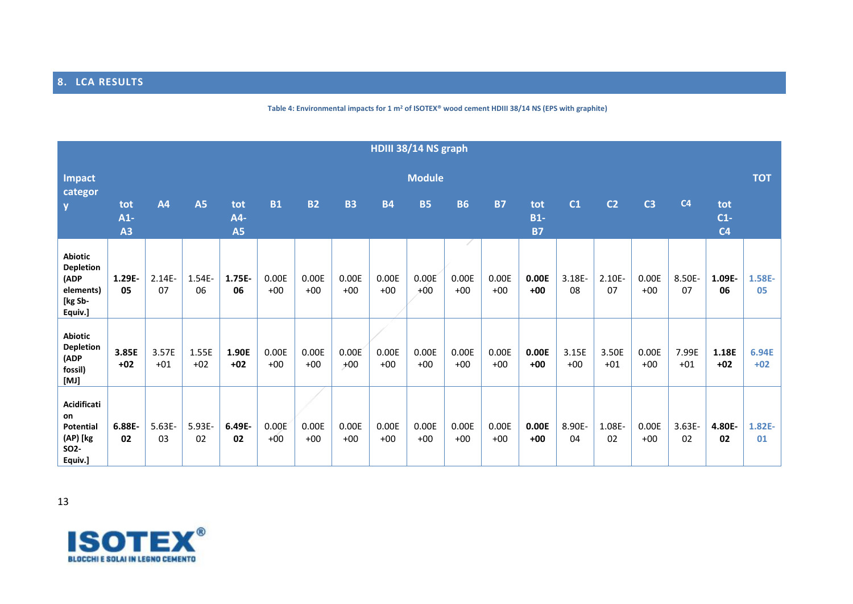# **8. LCA RESULTS**

#### **Table 4: Environmental impacts for 1 m<sup>2</sup> of ISOTEX® wood cement HDIII 38/14 NS (EPS with graphite)**

<span id="page-12-0"></span>

| HDIII 38/14 NS graph                                                              |                    |                 |                |                         |                |                |                |                |                |                |                |                           |                |                |                |                 |                                |                |
|-----------------------------------------------------------------------------------|--------------------|-----------------|----------------|-------------------------|----------------|----------------|----------------|----------------|----------------|----------------|----------------|---------------------------|----------------|----------------|----------------|-----------------|--------------------------------|----------------|
| <b>Impact</b><br>categor                                                          |                    |                 |                |                         |                |                |                |                | <b>Module</b>  |                |                |                           |                |                |                |                 |                                | <b>TOT</b>     |
| $\mathbf{V}$                                                                      | tot<br>$A1-$<br>A3 | <b>A4</b>       | <b>A5</b>      | tot<br>A4-<br><b>A5</b> | <b>B1</b>      | <b>B2</b>      | <b>B3</b>      | <b>B4</b>      | <b>B5</b>      | <b>B6</b>      | <b>B7</b>      | tot<br>$B1-$<br><b>B7</b> | C <sub>1</sub> | C <sub>2</sub> | C <sub>3</sub> | C <sub>4</sub>  | tot<br>$C1-$<br>C <sub>4</sub> |                |
| <b>Abiotic</b><br><b>Depletion</b><br>(ADP<br>elements)<br>[kg Sb-<br>Equiv.]     | 1.29E-<br>05       | $2.14E -$<br>07 | 1.54E-<br>06   | 1.75E-<br>06            | 0.00E<br>$+00$ | 0.00E<br>$+00$ | 0.00E<br>$+00$ | 0.00E<br>$+00$ | 0.00E<br>$+00$ | 0.00E<br>$+00$ | 0.00E<br>$+00$ | 0.00E<br>$+00$            | 3.18E-<br>08   | 2.10E-<br>07   | 0.00E<br>$+00$ | 8.50E-<br>07    | 1.09E-<br>06                   | 1.58E-<br>05   |
| <b>Abiotic</b><br><b>Depletion</b><br>(ADP<br>fossil)<br>[MI]                     | 3.85E<br>$+02$     | 3.57E<br>$+01$  | 1.55E<br>$+02$ | 1.90E<br>$+02$          | 0.00E<br>$+00$ | 0.00E<br>$+00$ | 0.00E<br>$+00$ | 0.00E<br>$+00$ | 0.00E<br>$+00$ | 0.00E<br>$+00$ | 0.00E<br>$+00$ | 0.00E<br>$+00$            | 3.15E<br>$+00$ | 3.50E<br>$+01$ | 0.00E<br>$+00$ | 7.99E<br>$+01$  | 1.18E<br>$+02$                 | 6.94E<br>$+02$ |
| Acidificati<br>on<br><b>Potential</b><br>(AP) [kg<br>SO <sub>2</sub> -<br>Equiv.] | 6.88E-<br>02       | $5.63E -$<br>03 | 5.93E-<br>02   | 6.49E-<br>02            | 0.00E<br>$+00$ | 0.00E<br>$+00$ | 0.00E<br>$+00$ | 0.00E<br>$+00$ | 0.00E<br>$+00$ | 0.00E<br>$+00$ | 0.00E<br>$+00$ | 0.00E<br>$+00$            | 8.90E-<br>04   | 1.08E-<br>02   | 0.00E<br>$+00$ | $3.63E -$<br>02 | 4.80E-<br>02                   | $1.82E-$<br>01 |

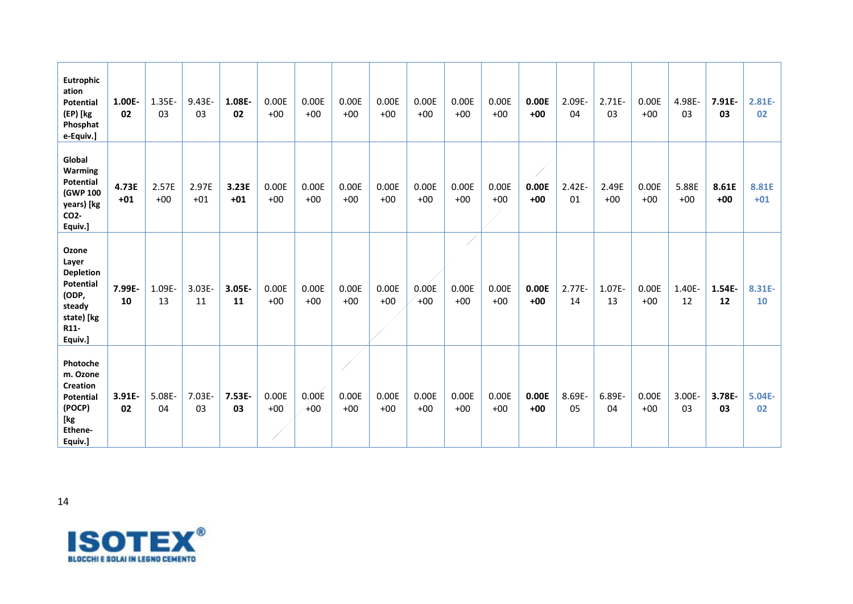| Eutrophic<br>ation<br><b>Potential</b><br>(EP) [kg<br>Phosphat<br>e-Equiv.]                            | 1.00E-<br>02   | $1.35E -$<br>03 | $9.43E -$<br>03 | 1.08E-<br>02    | 0.00E<br>$+00$ | 0.00E<br>$+00$ | 0.00E<br>$+00$ | 0.00E<br>$+00$ | 0.00E<br>$+00$ | 0.00E<br>$+00$ | 0.00E<br>$+00$ | 0.00E<br>$+00$ | 2.09E-<br>04    | $2.71E -$<br>03 | 0.00E<br>$+00$ | 4.98E-<br>03   | $7.91E -$<br>03 | 2.81E-<br>02   |
|--------------------------------------------------------------------------------------------------------|----------------|-----------------|-----------------|-----------------|----------------|----------------|----------------|----------------|----------------|----------------|----------------|----------------|-----------------|-----------------|----------------|----------------|-----------------|----------------|
| Global<br><b>Warming</b><br><b>Potential</b><br>(GWP 100<br>years) [kg<br>CO <sub>2</sub> -<br>Equiv.] | 4.73E<br>$+01$ | 2.57E<br>$+00$  | 2.97E<br>$+01$  | 3.23E<br>$+01$  | 0.00E<br>$+00$ | 0.00E<br>$+00$ | 0.00E<br>$+00$ | 0.00E<br>$+00$ | 0.00E<br>$+00$ | 0.00E<br>$+00$ | 0.00E<br>$+00$ | 0.00E<br>$+00$ | $2.42E -$<br>01 | 2.49E<br>$+00$  | 0.00E<br>$+00$ | 5.88E<br>$+00$ | 8.61E<br>$+00$  | 8.81E<br>$+01$ |
| Ozone<br>Layer<br><b>Depletion</b><br>Potential<br>(ODP,<br>steady<br>state) [kg<br>R11-<br>Equiv.]    | 7.99E-<br>10   | 1.09E-<br>13    | $3.03E -$<br>11 | $3.05E -$<br>11 | 0.00E<br>$+00$ | 0.00E<br>$+00$ | 0.00E<br>$+00$ | 0.00E<br>$+00$ | 0.00E<br>$+00$ | 0.00E<br>$+00$ | 0.00E<br>$+00$ | 0.00E<br>$+00$ | $2.77E -$<br>14 | 1.07E-<br>13    | 0.00E<br>$+00$ | 1.40E-<br>12   | 1.54E-<br>12    | 8.31E-<br>10   |
| Photoche<br>m. Ozone<br><b>Creation</b><br><b>Potential</b><br>(POCP)<br>[kg<br>Ethene-<br>Equiv.]     | 3.91E-<br>02   | 5.08E-<br>04    | $7.03E -$<br>03 | 7.53E-<br>03    | 0.00E<br>$+00$ | 0.00E<br>$+00$ | 0.00E<br>$+00$ | 0.00E<br>$+00$ | 0.00E<br>$+00$ | 0.00E<br>$+00$ | 0.00E<br>$+00$ | 0.00E<br>$+00$ | 8.69E-<br>05    | 6.89E-<br>04    | 0.00E<br>$+00$ | 3.00E-<br>03   | 3.78E-<br>03    | 5.04E-<br>02   |

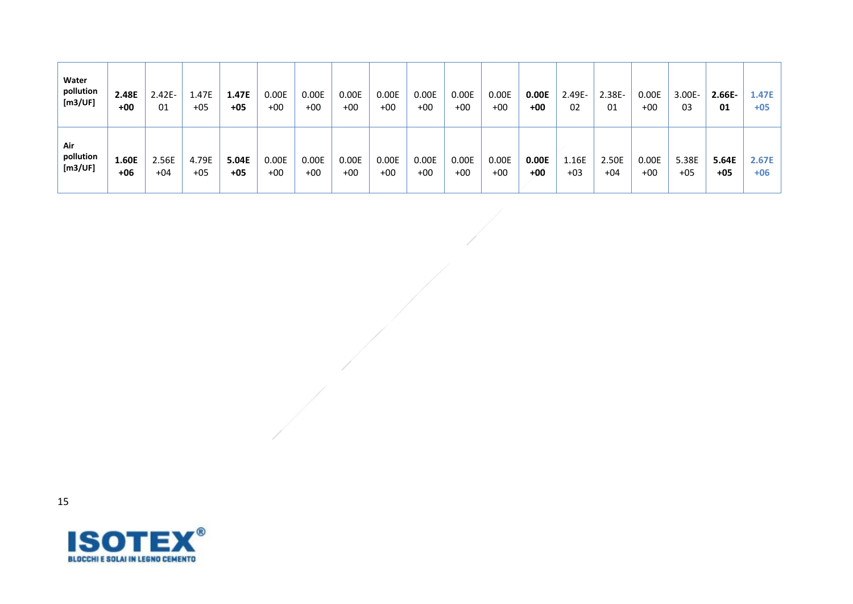| Water<br>pollution<br>[m3/UF] | 2.48E<br>$+00$ | $2.42E -$<br>01 | 1.47E<br>$+05$ | 1.47E<br>$+05$ | 0.00E<br>$+00$ | 0.00E<br>$+00$ | 0.00E<br>$+00$ | 0.00E<br>$+00$ | 0.00E<br>$+00$ | 0.00E<br>$+00$ | 0.00E<br>$+00$ | 0.00E<br>+00 | $2.49E -$<br>02 | $2.38E-$<br>01 | 0.00E<br>$+00$ | $3.00E -$<br>03 | $2.66E -$<br>01 | 1.47E<br>$+05$ |
|-------------------------------|----------------|-----------------|----------------|----------------|----------------|----------------|----------------|----------------|----------------|----------------|----------------|--------------|-----------------|----------------|----------------|-----------------|-----------------|----------------|
| Air<br>pollution<br>[m3/UF]   | 1.60E<br>$+06$ | 2.56E<br>$+04$  | 4.79E<br>$+05$ | 5.04E<br>$+05$ | 0.00E<br>$+00$ | 0.00E<br>$+00$ | 0.00E<br>$+00$ | 0.00E<br>$+00$ | 0.00E<br>$+00$ | 0.00E<br>$+00$ | 0.00E<br>$+00$ | 0.00E<br>+00 | 1.16E<br>$+03$  | 2.50E<br>$+04$ | 0.00E<br>$+00$ | 5.38E<br>$+05$  | 5.64E<br>$+05$  | 2.67E<br>$+06$ |

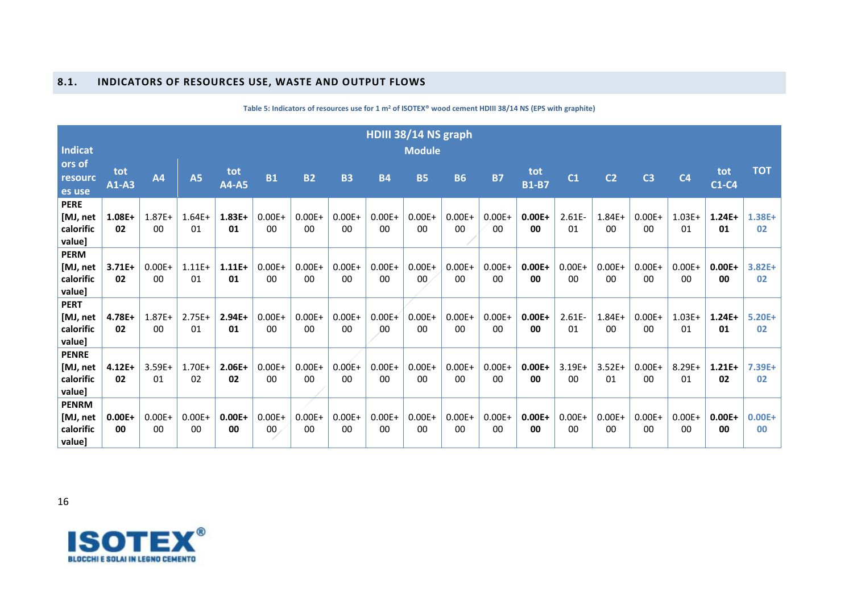### **8.1. INDICATORS OF RESOURCES USE, WASTE AND OUTPUT FLOWS**

<span id="page-15-0"></span>

|                                                 |                 |                 |                 |                     |                              |                 |                 | HDIII 38/14 NS graph |                             |                 |                 |                     |                     |                 |                            |                 |                 |                     |
|-------------------------------------------------|-----------------|-----------------|-----------------|---------------------|------------------------------|-----------------|-----------------|----------------------|-----------------------------|-----------------|-----------------|---------------------|---------------------|-----------------|----------------------------|-----------------|-----------------|---------------------|
| <b>Indicat</b>                                  |                 |                 |                 |                     |                              |                 |                 |                      | <b>Module</b>               |                 |                 |                     |                     |                 |                            |                 |                 |                     |
| ors of<br>resourc<br>es use                     | tot<br>$A1-A3$  | A4              | <b>A5</b>       | tot<br><b>A4-A5</b> | <b>B1</b>                    | <b>B2</b>       | <b>B3</b>       | <b>B4</b>            | <b>B5</b>                   | <b>B6</b>       | <b>B7</b>       | tot<br><b>B1-B7</b> | C <sub>1</sub>      | C <sub>2</sub>  | C <sub>3</sub>             | C <sub>4</sub>  | tot<br>$C1-C4$  | <b>TOT</b>          |
| <b>PERE</b><br>[MJ, net<br>calorific<br>value]  | 1.08E+<br>02    | $1.87E+$<br>00  | $1.64E+$<br>01  | $1.83E+$<br>01      | $0.00E +$<br>00              | $0.00E +$<br>00 | $0.00E +$<br>00 | $0.00E+$<br>00       | $0.00E +$<br>00             | $0.00E +$<br>00 | $0.00E +$<br>00 | $0.00E +$<br>00     | $2.61E -$<br>01     | $1.84E +$<br>00 | $0.00E +$<br>00            | $1.03E+$<br>01  | $1.24E+$<br>01  | $1.38E+$<br>02      |
| <b>PERM</b><br>[MJ, net<br>calorific<br>value]  | $3.71E+$<br>02  | $0.00E +$<br>00 | $1.11E+$<br>01  | $1.11E+$<br>01      | $0.00E +$<br>00              | $0.00E +$<br>00 | $0.00E +$<br>00 | $0.00E +$<br>00      | $0.00E +$<br>00             | $0.00E +$<br>00 | $0.00E +$<br>00 | $0.00E +$<br>00     | $0.00E +$<br>00     | $0.00E +$<br>00 | $0.00E +$<br>00            | $0.00E +$<br>00 | $0.00E +$<br>00 | $3.82E+$<br>02      |
| <b>PERT</b><br>[MJ, net<br>calorific<br>value]  | 4.78E+<br>02    | $1.87E+$<br>00  | $2.75E+$<br>01  | $2.94E+$<br>01      | $0.00E +$<br>00              | $0.00E +$<br>00 | $0.00E +$<br>00 | $0.00E+$<br>00       | $0.00E +$<br>00             | $0.00E +$<br>00 | $0.00E +$<br>00 | $0.00E+$<br>00      | $2.61E -$<br>01     | $1.84E+$<br>00  | $0.00E+$<br>00             | $1.03E+$<br>01  | $1.24E+$<br>01  | $5.20E+$<br>02      |
| <b>PENRE</b><br>[MJ, net<br>calorific<br>value] | $4.12E+$<br>02  | $3.59E+$<br>01  | $1.70E+$<br>02  | $2.06E+$<br>02      | $0.00E +$<br>$00\,$          | $0.00E +$<br>00 | $0.00E +$<br>00 | $0.00E +$<br>00      | $0.00E +$<br>0 <sub>0</sub> | $0.00E +$<br>00 | $0.00E +$<br>00 | $0.00E+$<br>00      | $3.19E+$<br>$00 \,$ | $3.52E+$<br>01  | $0.00E+$<br>0 <sup>0</sup> | $8.29E +$<br>01 | $1.21E+$<br>02  | $7.39E+$<br>02      |
| <b>PENRM</b><br>[MJ, net<br>calorific<br>value] | $0.00E +$<br>00 | $0.00E +$<br>00 | $0.00E +$<br>00 | $0.00E+$<br>00      | $0.00E +$<br>00 <sub>1</sub> | $0.00E +$<br>00 | $0.00E +$<br>00 | $0.00E +$<br>00      | $0.00E +$<br>00             | $0.00E +$<br>00 | $0.00E +$<br>00 | $0.00E +$<br>00     | $0.00E+$<br>00      | $0.00E+$<br>00  | $0.00E+$<br>00             | $0.00E +$<br>00 | $0.00E+$<br>00  | $0.00E +$<br>$00\,$ |

### **Table 5: Indicators of resources use for 1 m<sup>2</sup> of ISOTEX® wood cement HDIII 38/14 NS (EPS with graphite)**

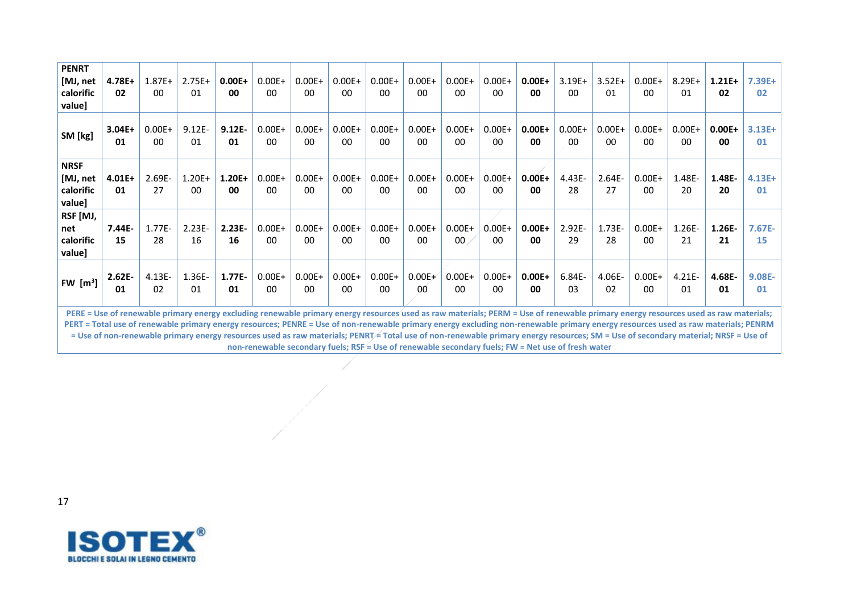| <b>PENRT</b>        |                                                                                                                                                                                                                                                                                                                                                                                                                                                                                                                                                             |                |                 |                 |                |                |                |                 |                |                 |                |                 |                 |                 |                 |                 |                 |                |
|---------------------|-------------------------------------------------------------------------------------------------------------------------------------------------------------------------------------------------------------------------------------------------------------------------------------------------------------------------------------------------------------------------------------------------------------------------------------------------------------------------------------------------------------------------------------------------------------|----------------|-----------------|-----------------|----------------|----------------|----------------|-----------------|----------------|-----------------|----------------|-----------------|-----------------|-----------------|-----------------|-----------------|-----------------|----------------|
| [MJ, net            | $4.78E+$                                                                                                                                                                                                                                                                                                                                                                                                                                                                                                                                                    | $1.87E+$       | $2.75E+$        | $0.00E +$       | $0.00E+$       | $0.00E+$       | $0.00E +$      | $0.00E+$        | $0.00E+$       | $0.00E +$       | $0.00E+$       | $0.00E +$       | $3.19E+$        | $3.52E+$        | $0.00E +$       | $8.29E +$       | $1.21E+$        | $7.39E+$       |
| calorific           | 02                                                                                                                                                                                                                                                                                                                                                                                                                                                                                                                                                          | 00             | 01              | 00              | $00\,$         | 00             | 00             | 00              | 00             | 00              | 00             | 00              | 00              | 01              | 00              | 01              | 02              | 02             |
| value]              |                                                                                                                                                                                                                                                                                                                                                                                                                                                                                                                                                             |                |                 |                 |                |                |                |                 |                |                 |                |                 |                 |                 |                 |                 |                 |                |
| SM [kg]             | $3.04E+$<br>01                                                                                                                                                                                                                                                                                                                                                                                                                                                                                                                                              | $0.00E+$<br>00 | $9.12E -$<br>01 | $9.12E -$<br>01 | $0.00E+$<br>00 | $0.00E+$<br>00 | $0.00E+$<br>00 | $0.00E +$<br>00 | $0.00E+$<br>00 | $0.00E +$<br>00 | $0.00E+$<br>00 | $0.00E +$<br>00 | $0.00E +$<br>00 | $0.00E +$<br>00 | $0.00E +$<br>00 | $0.00E +$<br>00 | $0.00E +$<br>00 | $3.13E+$<br>01 |
| <b>NRSF</b>         |                                                                                                                                                                                                                                                                                                                                                                                                                                                                                                                                                             |                |                 |                 |                |                |                |                 |                |                 |                |                 |                 |                 |                 |                 |                 |                |
| [MJ, net            | $4.01E+$                                                                                                                                                                                                                                                                                                                                                                                                                                                                                                                                                    | 2.69E-         | $1.20E +$       | $1.20E+$        | $0.00E +$      | $0.00E+$       | $0.00E +$      | $0.00E+$        | $0.00E+$       | $0.00E +$       | $0.00E+$       | $0.00E +$       | 4.43E-          | $2.64E -$       | $0.00E +$       | $1.48E -$       | 1.48E-          | $4.13E+$       |
| calorific           | 01                                                                                                                                                                                                                                                                                                                                                                                                                                                                                                                                                          | 27             | 00              | 00              | 00             | 00             | 00             | 00              | 00             | 00              | 00             | 00              | 28              | 27              | 00              | 20              | 20              | 01             |
| value]              |                                                                                                                                                                                                                                                                                                                                                                                                                                                                                                                                                             |                |                 |                 |                |                |                |                 |                |                 |                |                 |                 |                 |                 |                 |                 |                |
| RSF [MJ,            |                                                                                                                                                                                                                                                                                                                                                                                                                                                                                                                                                             |                |                 |                 |                |                |                |                 |                |                 |                |                 |                 |                 |                 |                 |                 |                |
| net                 | $7.44E -$                                                                                                                                                                                                                                                                                                                                                                                                                                                                                                                                                   | $1.77E -$      | $2.23E -$       | $2.23E -$       | $0.00E+$       | $0.00E+$       | $0.00E +$      | $0.00E +$       | $0.00E+$       | $0.00E +$       | $0.00E +$      | $0.00E +$       | $2.92E -$       | $1.73E -$       | $0.00E +$       | $1.26E -$       | $1.26E -$       | $7.67E -$      |
| calorific<br>value] | 15                                                                                                                                                                                                                                                                                                                                                                                                                                                                                                                                                          | 28             | 16              | 16              | 00             | 00             | 00             | 00              | 00             | $00 \times$     | 00             | 00              | 29              | 28              | 00 <sup>1</sup> | 21              | 21              | 15             |
|                     | $2.62E -$                                                                                                                                                                                                                                                                                                                                                                                                                                                                                                                                                   | $4.13E -$      | $1.36E -$       | $1.77E -$       | $0.00E+$       | $0.00E+$       | $0.00E +$      | $0.00E+$        | $0.00E+$       | $0.00E +$       | $0.00E+$       | $0.00E+$        | $6.84E -$       | 4.06E-          | $0.00E +$       | $4.21E -$       | 4.68E-          | $9.08E -$      |
| FW $[m^3]$          | 01                                                                                                                                                                                                                                                                                                                                                                                                                                                                                                                                                          | 02             | 01              | 01              | 00             | 00             | 00             | 00              | 00             | 00              | 00             | 00              | 03              | 02              | 00 <sup>1</sup> | 01              | 01              | 01             |
|                     | PERE = Use of renewable primary energy excluding renewable primary energy resources used as raw materials; PERM = Use of renewable primary energy resources used as raw materials;<br>PERT = Total use of renewable primary energy resources; PENRE = Use of non-renewable primary energy excluding non-renewable primary energy resources used as raw materials; PENRM<br>= Use of non-renewable primary energy resources used as raw materials; PENRT= Total use of non-renewable primary energy resources; SM = Use of secondary material; NRSF = Use of |                |                 |                 |                |                |                |                 |                |                 |                |                 |                 |                 |                 |                 |                 |                |

**non-renewable secondary fuels; RSF = Use of renewable secondary fuels; FW = Net use of fresh water**

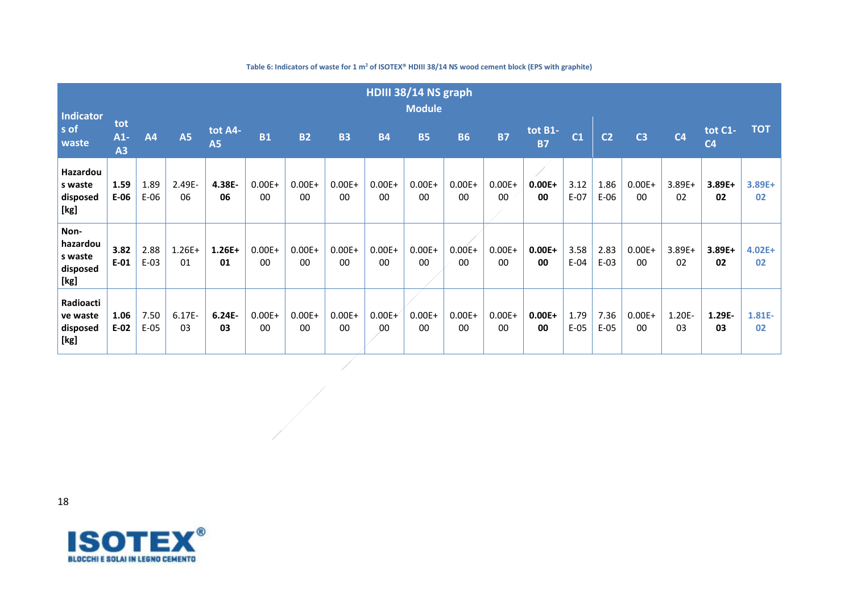| <b>Indicator</b>                                |                    |                |                 |                      |                     |                 |                     |                 | HDIII 38/14 NS graph<br><b>Module</b> |                 |                 |                      |                |                |                 |                 |                           |                 |
|-------------------------------------------------|--------------------|----------------|-----------------|----------------------|---------------------|-----------------|---------------------|-----------------|---------------------------------------|-----------------|-----------------|----------------------|----------------|----------------|-----------------|-----------------|---------------------------|-----------------|
| s of<br>waste                                   | tot<br>$A1-$<br>A3 | <b>A4</b>      | <b>A5</b>       | tot A4-<br><b>A5</b> | <b>B1</b>           | <b>B2</b>       | <b>B3</b>           | <b>B4</b>       | <b>B5</b>                             | <b>B6</b>       | <b>B7</b>       | tot B1-<br><b>B7</b> | C1             | C <sub>2</sub> | C <sub>3</sub>  | C <sub>4</sub>  | tot C1-<br>C <sub>4</sub> | <b>TOT</b>      |
| Hazardou<br>s waste<br>disposed<br>[kg]         | 1.59<br>E-06       | 1.89<br>$E-06$ | 2.49E-<br>06    | 4.38E-<br>06         | $0.00E +$<br>00     | $0.00E +$<br>00 | $0.00E +$<br>00     | $0.00E +$<br>00 | $0.00E +$<br>00                       | $0.00E +$<br>00 | $0.00E +$<br>00 | $0.00E +$<br>00      | 3.12<br>$E-07$ | 1.86<br>$E-06$ | $0.00E +$<br>00 | $3.89E +$<br>02 | 3.89E+<br>02              | $3.89E +$<br>02 |
| Non-<br>hazardou<br>s waste<br>disposed<br>[kg] | 3.82<br>$E-01$     | 2.88<br>$E-03$ | $1.26E+$<br>01  | $1.26E+$<br>01       | $0.00E +$<br>$00\,$ | $0.00E +$<br>00 | $0.00E +$<br>$00\,$ | $0.00E +$<br>00 | $0.00E+$<br>00                        | $0.00E +$<br>00 | $0.00E +$<br>00 | $0.00E +$<br>00      | 3.58<br>$E-04$ | 2.83<br>$E-03$ | $0.00E +$<br>00 | $3.89E +$<br>02 | 3.89E+<br>02              | $4.02E+$<br>02  |
| Radioacti<br>ve waste<br>disposed<br>[kg]       | 1.06<br>$E-02$     | 7.50<br>$E-05$ | $6.17E -$<br>03 | $6.24E -$<br>03      | $0.00E +$<br>00     | $0.00E +$<br>00 | $0.00E +$<br>00     | $0.00E+$<br>00  | $0.00E +$<br>00                       | $0.00E +$<br>00 | $0.00E +$<br>00 | $0.00E +$<br>00      | 1.79<br>$E-05$ | 7.36<br>$E-05$ | $0.00E +$<br>00 | 1.20E-<br>03    | 1.29E-<br>03              | 1.81E-<br>02    |

 $\frac{1}{\sqrt{2\pi}}\int_0^1\frac{1}{\sqrt{2\pi}}\left(\frac{1}{2}\right)^2\left(\frac{1}{2}\right)^2\left(\frac{1}{2}\right)^2\left(\frac{1}{2}\right)^2\left(\frac{1}{2}\right)^2\left(\frac{1}{2}\right)^2\left(\frac{1}{2}\right)^2\left(\frac{1}{2}\right)^2\left(\frac{1}{2}\right)^2\left(\frac{1}{2}\right)^2\left(\frac{1}{2}\right)^2\left(\frac{1}{2}\right)^2\left(\frac{1}{2}\right)^2\left(\frac{1}{2}\right)^2\left(\frac{1}{2}\right)^2\left(\frac{1}{2}\right$ 

#### **Table 6: Indicators of waste for 1 m<sup>2</sup> of ISOTEX® HDIII 38/14 NS wood cement block (EPS with graphite)**

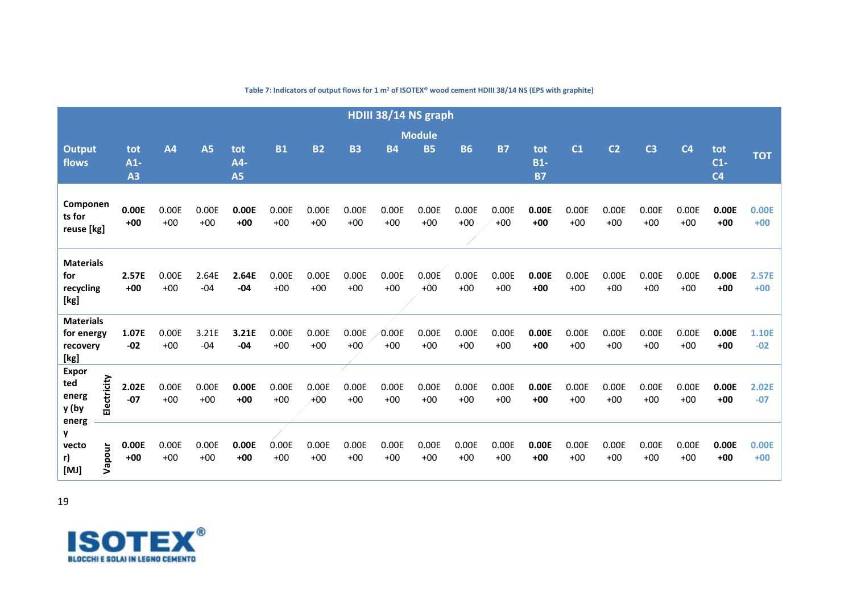|                                                    |             |                    |                |                |                         |                |                |                | HDIII 38/14 NS graph |                |                |                |                           |                |                |                |                |                                |                |
|----------------------------------------------------|-------------|--------------------|----------------|----------------|-------------------------|----------------|----------------|----------------|----------------------|----------------|----------------|----------------|---------------------------|----------------|----------------|----------------|----------------|--------------------------------|----------------|
|                                                    |             |                    |                |                |                         |                |                |                |                      | <b>Module</b>  |                |                |                           |                |                |                |                |                                |                |
| Output<br>flows                                    |             | tot<br>$A1-$<br>A3 | A <sub>4</sub> | <b>A5</b>      | tot<br>A4-<br><b>A5</b> | <b>B1</b>      | <b>B2</b>      | <b>B3</b>      | <b>B4</b>            | <b>B5</b>      | <b>B6</b>      | <b>B7</b>      | tot<br>$B1-$<br><b>B7</b> | C <sub>1</sub> | C <sub>2</sub> | C <sub>3</sub> | C <sub>4</sub> | tot<br>$C1-$<br>C <sub>4</sub> | <b>TOT</b>     |
| Componen<br>ts for<br>reuse [kg]                   |             | 0.00E<br>$+00$     | 0.00E<br>$+00$ | 0.00E<br>$+00$ | 0.00E<br>$+00$          | 0.00E<br>$+00$ | 0.00E<br>$+00$ | 0.00E<br>$+00$ | 0.00E<br>$+00$       | 0.00E<br>$+00$ | 0.00E<br>$+00$ | 0.00E<br>$+00$ | 0.00E<br>$+00$            | 0.00E<br>$+00$ | 0.00E<br>$+00$ | 0.00E<br>$+00$ | 0.00E<br>$+00$ | 0.00E<br>$+00$                 | 0.00E<br>$+00$ |
| <b>Materials</b><br>for<br>recycling<br>[kg]       |             | 2.57E<br>$+00$     | 0.00E<br>$+00$ | 2.64E<br>$-04$ | 2.64E<br>$-04$          | 0.00E<br>$+00$ | 0.00E<br>$+00$ | 0.00E<br>$+00$ | 0.00E<br>$+00$       | 0.00E<br>$+00$ | 0.00E<br>$+00$ | 0.00E<br>$+00$ | 0.00E<br>$+00$            | 0.00E<br>$+00$ | 0.00E<br>$+00$ | 0.00E<br>$+00$ | 0.00E<br>$+00$ | 0.00E<br>$+00$                 | 2.57E<br>$+00$ |
| <b>Materials</b><br>for energy<br>recovery<br>[kg] |             | 1.07E<br>$-02$     | 0.00E<br>$+00$ | 3.21E<br>$-04$ | 3.21E<br>$-04$          | 0.00E<br>$+00$ | 0.00E<br>$+00$ | 0.00E<br>$+00$ | 0.00E<br>$+00$       | 0.00E<br>$+00$ | 0.00E<br>$+00$ | 0.00E<br>$+00$ | 0.00E<br>$+00$            | 0.00E<br>$+00$ | 0.00E<br>$+00$ | 0.00E<br>$+00$ | 0.00E<br>$+00$ | 0.00E<br>$+00$                 | 1.10E<br>$-02$ |
| <b>Expor</b><br>ted<br>energ<br>y (by<br>energ     | Electricity | 2.02E<br>$-07$     | 0.00E<br>$+00$ | 0.00E<br>$+00$ | 0.00E<br>$+00$          | 0.00E<br>$+00$ | 0.00E<br>$+00$ | 0.00E<br>$+00$ | 0.00E<br>$+00$       | 0.00E<br>$+00$ | 0.00E<br>$+00$ | 0.00E<br>$+00$ | 0.00E<br>$+00$            | 0.00E<br>$+00$ | 0.00E<br>$+00$ | 0.00E<br>$+00$ | 0.00E<br>$+00$ | 0.00E<br>$+00$                 | 2.02E<br>$-07$ |
| y<br>vecto<br>r)<br>[MJ]                           | Vapour      | 0.00E<br>$+00$     | 0.00E<br>$+00$ | 0.00E<br>$+00$ | 0.00E<br>$+00$          | 0.00E<br>$+00$ | 0.00E<br>$+00$ | 0.00E<br>$+00$ | 0.00E<br>$+00$       | 0.00E<br>$+00$ | 0.00E<br>$+00$ | 0.00E<br>$+00$ | 0.00E<br>$+00$            | 0.00E<br>$+00$ | 0.00E<br>$+00$ | 0.00E<br>$+00$ | 0.00E<br>$+00$ | 0.00E<br>$+00$                 | 0.00E<br>$+00$ |

**Table 7: Indicators of output flows for 1 m<sup>2</sup> of ISOTEX® wood cement HDIII 38/14 NS (EPS with graphite)**

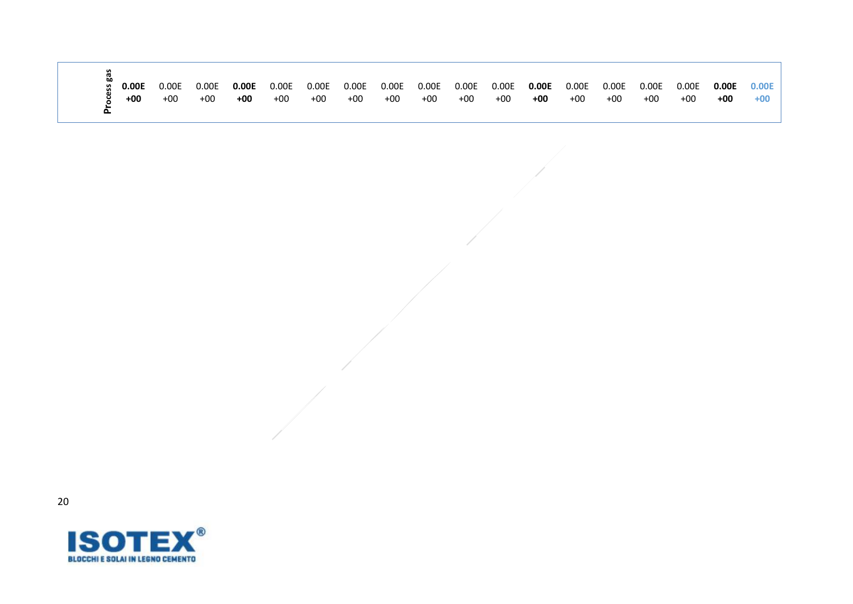| ပ္က | 0.00E | 0.00E | 0.00E | 0.00E |                         |  |                   |     |     | 0.00E | 0.00E | 0.00E |     |       |
|-----|-------|-------|-------|-------|-------------------------|--|-------------------|-----|-----|-------|-------|-------|-----|-------|
|     | $+00$ | +00   | $+00$ | +00   | $+00$ $+00$ $+00$ $+00$ |  | $+00$ $+00$ $+00$ | +00 | +00 | +00   | $+00$ | +00   | +00 | $+00$ |

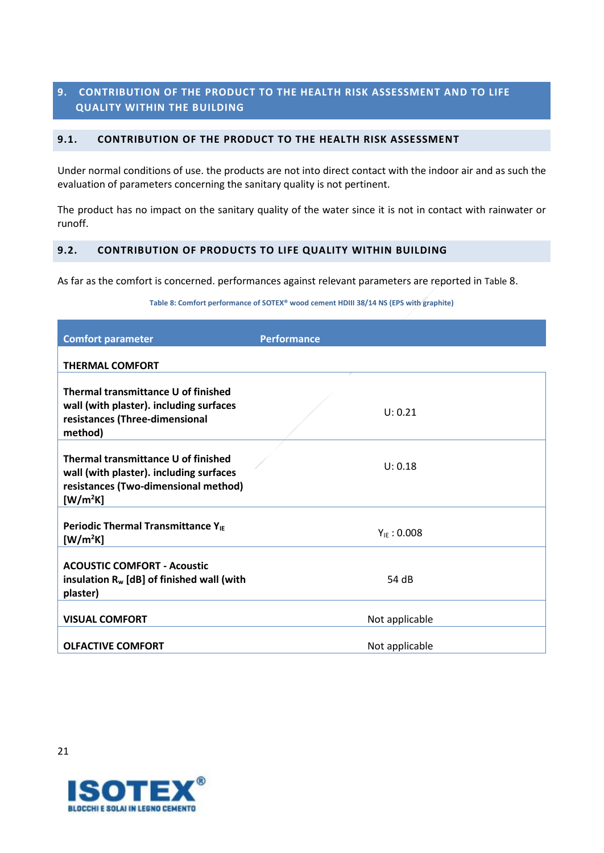# <span id="page-20-0"></span>**9. CONTRIBUTION OF THE PRODUCT TO THE HEALTH RISK ASSESSMENT AND TO LIFE QUALITY WITHIN THE BUILDING**

### <span id="page-20-1"></span>**9.1. CONTRIBUTION OF THE PRODUCT TO THE HEALTH RISK ASSESSMENT**

Under normal conditions of use. the products are not into direct contact with the indoor air and as such the evaluation of parameters concerning the sanitary quality is not pertinent.

The product has no impact on the sanitary quality of the water since it is not in contact with rainwater or runoff.

# <span id="page-20-2"></span>**9.2. CONTRIBUTION OF PRODUCTS TO LIFE QUALITY WITHIN BUILDING**

<span id="page-20-3"></span>As far as the comfort is concerned. performances against relevant parameters are reported in [Table](#page-20-3) 8.

**Table 8: Comfort performance of SOTEX® wood cement HDIII 38/14 NS (EPS with graphite)**

| <b>Comfort parameter</b>                                                                                                                       | <b>Performance</b> |
|------------------------------------------------------------------------------------------------------------------------------------------------|--------------------|
| <b>THERMAL COMFORT</b>                                                                                                                         |                    |
| Thermal transmittance U of finished<br>wall (with plaster). including surfaces<br>resistances (Three-dimensional<br>method)                    | U: 0.21            |
| Thermal transmittance U of finished<br>wall (with plaster). including surfaces<br>resistances (Two-dimensional method)<br>[W/m <sup>2</sup> K] | U: 0.18            |
| Periodic Thermal Transmittance Y <sub>IE</sub><br>[W/m <sup>2</sup> K]                                                                         | $Y_{IF}$ : 0.008   |
| <b>ACOUSTIC COMFORT - Acoustic</b><br>insulation $R_w$ [dB] of finished wall (with<br>plaster)                                                 | 54 dB              |
| <b>VISUAL COMFORT</b>                                                                                                                          | Not applicable     |
| <b>OLFACTIVE COMFORT</b>                                                                                                                       | Not applicable     |

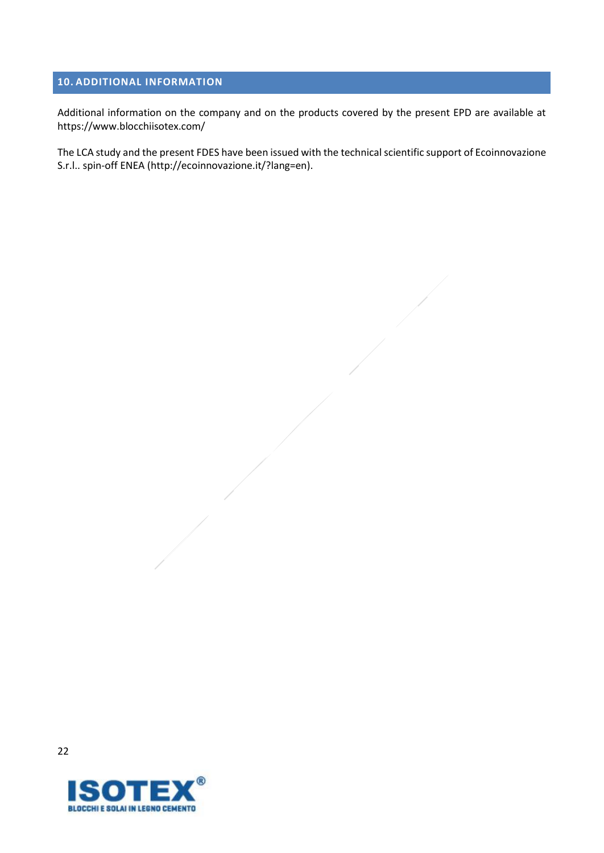# <span id="page-21-0"></span>**10. ADDITIONAL INFORMATION**

Additional information on the company and on the products covered by the present EPD are available at <https://www.blocchiisotex.com/>

The LCA study and the present FDES have been issued with the technical scientific support of Ecoinnovazione S.r.l.. spin-off ENEA [\(http://ecoinnovazione.it/?lang=en\)](http://ecoinnovazione.it/?lang=en).

**BLOCCHI E SOLAI IN LEGNO CEMENTO**